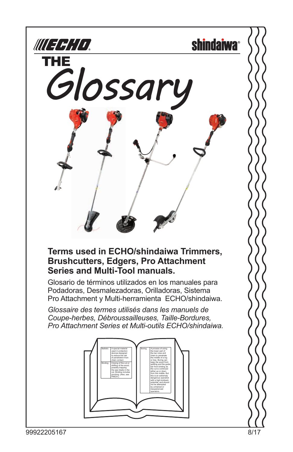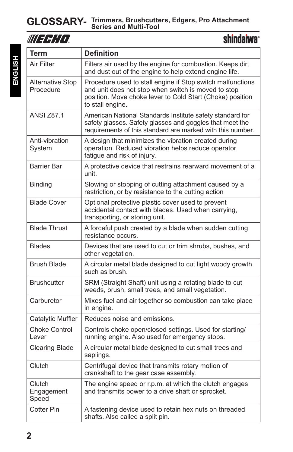| III FFHTT                            | <b>shindaiwa</b> °                                                                                                                                                                                 |
|--------------------------------------|----------------------------------------------------------------------------------------------------------------------------------------------------------------------------------------------------|
| Term                                 | <b>Definition</b>                                                                                                                                                                                  |
| Air Filter                           | Filters air used by the engine for combustion. Keeps dirt<br>and dust out of the engine to help extend engine life.                                                                                |
| <b>Alternative Stop</b><br>Procedure | Procedure used to stall engine if Stop switch malfunctions<br>and unit does not stop when switch is moved to stop<br>position. Move choke lever to Cold Start (Choke) position<br>to stall engine. |
| <b>ANSI 787.1</b>                    | American National Standards Institute safety standard for<br>safety glasses. Safety glasses and goggles that meet the<br>requirements of this standard are marked with this number.                |
| Anti-vibration<br>System             | A design that minimizes the vibration created during<br>operation. Reduced vibration helps reduce operator<br>fatigue and risk of injury.                                                          |
| <b>Barrier Bar</b>                   | A protective device that restrains rearward movement of a<br>unit.                                                                                                                                 |
| <b>Binding</b>                       | Slowing or stopping of cutting attachment caused by a<br>restriction, or by resistance to the cutting action                                                                                       |
| <b>Blade Cover</b>                   | Optional protective plastic cover used to prevent<br>accidental contact with blades. Used when carrying,<br>transporting, or storing unit.                                                         |
| <b>Blade Thrust</b>                  | A forceful push created by a blade when sudden cutting<br>resistance occurs.                                                                                                                       |
| <b>Blades</b>                        | Devices that are used to cut or trim shrubs, bushes, and<br>other vegetation.                                                                                                                      |
| <b>Brush Blade</b>                   | A circular metal blade designed to cut light woody growth<br>such as brush.                                                                                                                        |
| <b>Brushcutter</b>                   | SRM (Straight Shaft) unit using a rotating blade to cut<br>weeds, brush, small trees, and small vegetation.                                                                                        |
| Carburetor                           | Mixes fuel and air together so combustion can take place<br>in engine.                                                                                                                             |
| Catalytic Muffler                    | Reduces noise and emissions.                                                                                                                                                                       |
| <b>Choke Control</b><br>I ever       | Controls choke open/closed settings. Used for starting/<br>running engine. Also used for emergency stops.                                                                                          |
| <b>Clearing Blade</b>                | A circular metal blade designed to cut small trees and<br>saplings.                                                                                                                                |
| Clutch                               | Centrifugal device that transmits rotary motion of<br>crankshaft to the gear case assembly.                                                                                                        |
| Clutch<br>Engagement<br>Speed        | The engine speed or r.p.m. at which the clutch engages<br>and transmits power to a drive shaft or sprocket.                                                                                        |
| Cotter Pin                           | A fastening device used to retain hex nuts on threaded<br>shafts. Also called a split pin.                                                                                                         |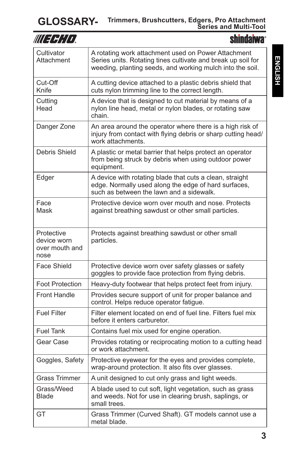## **GLOSSARY- Trimmers, Brushcutters, Edgers, Pro Attachment Series and Multi-Tool**

| WUEFHIO.                                            | <b>shindaiwa</b> ®                                                                                                                                                               |
|-----------------------------------------------------|----------------------------------------------------------------------------------------------------------------------------------------------------------------------------------|
| Cultivator<br>Attachment                            | A rotating work attachment used on Power Attachment<br>Series units. Rotating tines cultivate and break up soil for<br>weeding, planting seeds, and working mulch into the soil. |
| Cut-Off<br>Knife                                    | A cutting device attached to a plastic debris shield that<br>cuts nylon trimming line to the correct length.                                                                     |
| Cutting<br>Head                                     | A device that is designed to cut material by means of a<br>nylon line head, metal or nylon blades, or rotating saw<br>chain.                                                     |
| Danger Zone                                         | An area around the operator where there is a high risk of<br>injury from contact with flying debris or sharp cutting head/<br>work attachments.                                  |
| Debris Shield                                       | A plastic or metal barrier that helps protect an operator<br>from being struck by debris when using outdoor power<br>equipment.                                                  |
| Edger                                               | A device with rotating blade that cuts a clean, straight<br>edge. Normally used along the edge of hard surfaces,<br>such as between the lawn and a sidewalk.                     |
| Face<br>Mask                                        | Protective device worn over mouth and nose. Protects<br>against breathing sawdust or other small particles.                                                                      |
| Protective<br>device worn<br>over mouth and<br>nose | Protects against breathing sawdust or other small<br>particles.                                                                                                                  |
| <b>Face Shield</b>                                  | Protective device worn over safety glasses or safety<br>goggles to provide face protection from flying debris.                                                                   |
| <b>Foot Protection</b>                              | Heavy-duty footwear that helps protect feet from injury.                                                                                                                         |
| <b>Front Handle</b>                                 | Provides secure support of unit for proper balance and<br>control. Helps reduce operator fatigue.                                                                                |
| <b>Fuel Filter</b>                                  | Filter element located on end of fuel line. Filters fuel mix<br>before it enters carburetor.                                                                                     |
| <b>Fuel Tank</b>                                    | Contains fuel mix used for engine operation.                                                                                                                                     |
| Gear Case                                           | Provides rotating or reciprocating motion to a cutting head<br>or work attachment.                                                                                               |
| Goggles, Safety                                     | Protective eyewear for the eyes and provides complete,<br>wrap-around protection. It also fits over glasses.                                                                     |
| <b>Grass Trimmer</b>                                | A unit designed to cut only grass and light weeds.                                                                                                                               |
| Grass/Weed<br><b>Blade</b>                          | A blade used to cut soft, light vegetation, such as grass<br>and weeds. Not for use in clearing brush, saplings, or<br>small trees.                                              |
| GT                                                  | Grass Trimmer (Curved Shaft). GT models cannot use a<br>metal blade.                                                                                                             |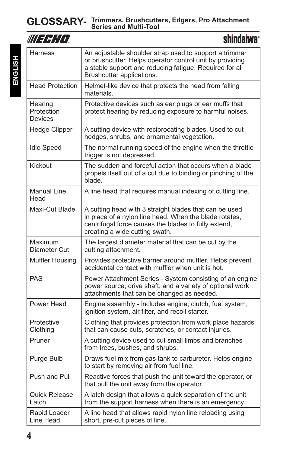| WUERHA                           | <b>shindaiwa</b> ®                                                                                                                                                                                         |
|----------------------------------|------------------------------------------------------------------------------------------------------------------------------------------------------------------------------------------------------------|
| Harness                          | An adjustable shoulder strap used to support a trimmer<br>or brushcutter. Helps operator control unit by providing<br>a stable support and reducing fatigue. Required for all<br>Brushcutter applications. |
| <b>Head Protection</b>           | Helmet-like device that protects the head from falling<br>materials.                                                                                                                                       |
| Hearing<br>Protection<br>Devices | Protective devices such as ear plugs or ear muffs that<br>protect hearing by reducing exposure to harmful noises.                                                                                          |
| Hedge Clipper                    | A cutting device with reciprocating blades. Used to cut<br>hedges, shrubs, and ornamental vegetation.                                                                                                      |
| <b>Idle Speed</b>                | The normal running speed of the engine when the throttle<br>trigger is not depressed.                                                                                                                      |
| Kickout                          | The sudden and forceful action that occurs when a blade<br>propels itself out of a cut due to binding or pinching of the<br>blade.                                                                         |
| <b>Manual Line</b><br>Head       | A line head that requires manual indexing of cutting line.                                                                                                                                                 |
| Maxi-Cut Blade                   | A cutting head with 3 straight blades that can be used<br>in place of a nylon line head. When the blade rotates,<br>centrifugal force causes the blades to fully extend,<br>creating a wide cutting swath. |
| Maximum<br>Diameter Cut          | The largest diameter material that can be cut by the<br>cutting attachment.                                                                                                                                |
| Muffler Housing                  | Provides protective barrier around muffler. Helps prevent<br>accidental contact with muffler when unit is hot.                                                                                             |
| <b>PAS</b>                       | Power Attachment Series - System consisting of an engine<br>power source, drive shaft, and a variety of optional work<br>attachments that can be changed as needed.                                        |
| Power Head                       | Engine assembly - includes engine, clutch, fuel system,<br>ignition system, air filter, and recoil starter.                                                                                                |
| Protective<br>Clothina           | Clothing that provides protection from work place hazards<br>that can cause cuts, scratches, or contact injuries.                                                                                          |
| Pruner                           | A cutting device used to cut small limbs and branches<br>from trees, bushes, and shrubs.                                                                                                                   |
| Purge Bulb                       | Draws fuel mix from gas tank to carburetor. Helps engine<br>to start by removing air from fuel line.                                                                                                       |
| Push and Pull                    | Reactive forces that push the unit toward the operator, or<br>that pull the unit away from the operator.                                                                                                   |
| <b>Quick Release</b><br>Latch    | A latch design that allows a quick separation of the unit<br>from the support harness when there is an emergency.                                                                                          |
| Rapid Loader<br>Line Head        | A line head that allows rapid nylon line reloading using<br>short, pre-cut pieces of line.                                                                                                                 |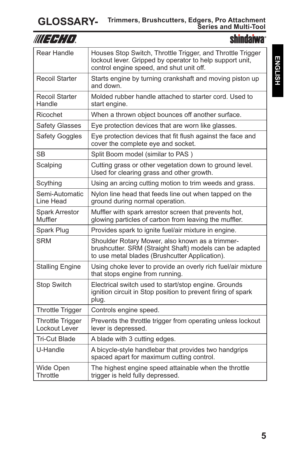## **GLOSSARY- Trimmers, Brushcutters, Edgers, Pro Attachment Series and Multi-Tool**

| III FRID                                 | <b>shindaiwa</b> <sup>®</sup>                                                                                                                                      |
|------------------------------------------|--------------------------------------------------------------------------------------------------------------------------------------------------------------------|
| Rear Handle                              | Houses Stop Switch, Throttle Trigger, and Throttle Trigger<br>lockout lever. Gripped by operator to help support unit,<br>control engine speed, and shut unit off. |
| <b>Recoil Starter</b>                    | Starts engine by turning crankshaft and moving piston up<br>and down.                                                                                              |
| <b>Recoil Starter</b><br>Handle          | Molded rubber handle attached to starter cord. Used to<br>start engine.                                                                                            |
| Ricochet                                 | When a thrown object bounces off another surface.                                                                                                                  |
| <b>Safety Glasses</b>                    | Eye protection devices that are worn like glasses.                                                                                                                 |
| Safety Goggles                           | Eye protection devices that fit flush against the face and<br>cover the complete eye and socket.                                                                   |
| SВ                                       | Split Boom model (similar to PAS)                                                                                                                                  |
| Scalping                                 | Cutting grass or other vegetation down to ground level.<br>Used for clearing grass and other growth.                                                               |
| Scything                                 | Using an arcing cutting motion to trim weeds and grass.                                                                                                            |
| Semi-Automatic<br>Line Head              | Nylon line head that feeds line out when tapped on the<br>ground during normal operation.                                                                          |
| <b>Spark Arrestor</b><br>Muffler         | Muffler with spark arrestor screen that prevents hot,<br>glowing particles of carbon from leaving the muffler.                                                     |
| Spark Plug                               | Provides spark to ignite fuel/air mixture in engine.                                                                                                               |
| <b>SRM</b>                               | Shoulder Rotary Mower, also known as a trimmer-<br>brushcutter. SRM (Straight Shaft) models can be adapted<br>to use metal blades (Brushcutter Application).       |
| <b>Stalling Engine</b>                   | Using choke lever to provide an overly rich fuel/air mixture<br>that stops engine from running.                                                                    |
| <b>Stop Switch</b>                       | Electrical switch used to start/stop engine. Grounds<br>ignition circuit in Stop position to prevent firing of spark<br>plug.                                      |
| <b>Throttle Trigger</b>                  | Controls engine speed.                                                                                                                                             |
| <b>Throttle Trigger</b><br>Lockout Lever | Prevents the throttle trigger from operating unless lockout<br>lever is depressed.                                                                                 |
| Tri-Cut Blade                            | A blade with 3 cutting edges.                                                                                                                                      |
| U-Handle                                 | A bicycle-style handlebar that provides two handgrips<br>spaced apart for maximum cutting control.                                                                 |
| Wide Open<br>Throttle                    | The highest engine speed attainable when the throttle<br>trigger is held fully depressed.                                                                          |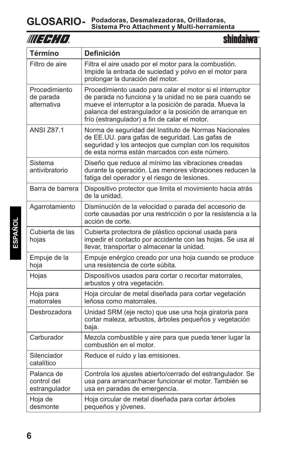|--|

**shindaiwa**<sup>®</sup>

| <b>Término</b>                             | <b>Definición</b>                                                                                                                                                                                                                                                                        |
|--------------------------------------------|------------------------------------------------------------------------------------------------------------------------------------------------------------------------------------------------------------------------------------------------------------------------------------------|
| Filtro de aire                             | Filtra el aire usado por el motor para la combustión.<br>Impide la entrada de suciedad y polvo en el motor para<br>prolongar la duración del motor.                                                                                                                                      |
| Procedimiento<br>de parada<br>alternativa  | Procedimiento usado para calar el motor si el interruptor<br>de parada no funciona y la unidad no se para cuando se<br>mueve el interruptor a la posición de parada. Mueva la<br>palanca del estrangulador a la posición de arranque en<br>frío (estrangulador) a fin de calar el motor. |
| <b>ANSI Z87.1</b>                          | Norma de seguridad del Instituto de Normas Nacionales<br>de EE.UU. para gafas de seguridad. Las gafas de<br>seguridad y los anteojos que cumplan con los requisitos<br>de esta norma están marcados con este número.                                                                     |
| Sistema<br>antivibratorio                  | Diseño que reduce al mínimo las vibraciones creadas<br>durante la operación. Las menores vibraciones reducen la<br>fatiga del operador y el riesgo de lesiones.                                                                                                                          |
| Barra de barrera                           | Dispositivo protector que limita el movimiento hacia atrás<br>de la unidad.                                                                                                                                                                                                              |
| Agarrotamiento                             | Disminución de la velocidad o parada del accesorio de<br>corte causadas por una restricción o por la resistencia a la<br>acción de corte.                                                                                                                                                |
| Cubierta de las<br>hojas                   | Cubierta protectora de plástico opcional usada para<br>impedir el contacto por accidente con las hojas. Se usa al<br>llevar, transportar o almacenar la unidad.                                                                                                                          |
| Empuje de la<br>hoja                       | Empuje enérgico creado por una hoja cuando se produce<br>una resistencia de corte súbita.                                                                                                                                                                                                |
| Hojas                                      | Dispositivos usados para cortar o recortar matorrales,<br>arbustos y otra vegetación.                                                                                                                                                                                                    |
| Hoja para<br>matorrales                    | Hoja circular de metal diseñada para cortar vegetación<br>leñosa como matorrales.                                                                                                                                                                                                        |
| Desbrozadora                               | Unidad SRM (eje recto) que use una hoja giratoria para<br>cortar maleza, arbustos, árboles pequeños y vegetación<br>baja.                                                                                                                                                                |
| Carburador                                 | Mezcla combustible y aire para que pueda tener lugar la<br>combustión en el motor.                                                                                                                                                                                                       |
| Silenciador<br>catalítico                  | Reduce el ruido y las emisiones.                                                                                                                                                                                                                                                         |
| Palanca de<br>control del<br>estrangulador | Controla los ajustes abierto/cerrado del estrangulador. Se<br>usa para arrancar/hacer funcionar el motor. También se<br>usa en paradas de emergencia.                                                                                                                                    |
| Hoja de<br>desmonte                        | Hoja circular de metal diseñada para cortar árboles<br>pequeños y jóvenes.                                                                                                                                                                                                               |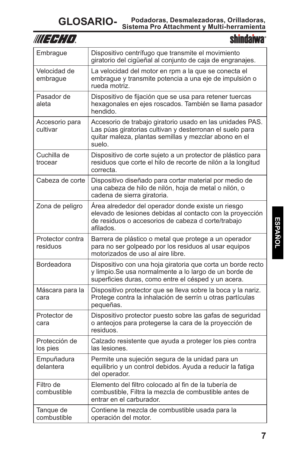| III I H¦l I I                | hindan                                                                                                                                                                                   |
|------------------------------|------------------------------------------------------------------------------------------------------------------------------------------------------------------------------------------|
| Embrague                     | Dispositivo centrífugo que transmite el movimiento<br>giratorio del cigüeñal al conjunto de caja de engranajes.                                                                          |
| Velocidad de<br>embrague     | La velocidad del motor en rpm a la que se conecta el<br>embrague y transmite potencia a una eje de impulsión o<br>rueda motriz.                                                          |
| Pasador de<br>aleta          | Dispositivo de fijación que se usa para retener tuercas<br>hexagonales en ejes roscados. También se llama pasador<br>hendido.                                                            |
| Accesorio para<br>cultivar   | Accesorio de trabajo giratorio usado en las unidades PAS.<br>Las púas giratorias cultivan y desterronan el suelo para<br>quitar maleza, plantas semillas y mezclar abono en el<br>suelo. |
| Cuchilla de<br>trocear       | Dispositivo de corte sujeto a un protector de plástico para<br>residuos que corte el hilo de recorte de nilón a la longitud<br>correcta.                                                 |
| Cabeza de corte              | Dispositivo diseñado para cortar material por medio de<br>una cabeza de hilo de nilón, hoja de metal o nilón, o<br>cadena de sierra giratoria.                                           |
| Zona de peligro              | Area alrededor del operador donde existe un riesgo<br>elevado de lesiones debidas al contacto con la proyección<br>de residuos o accesorios de cabeza d corte/trabajo<br>afilados.       |
| Protector contra<br>residuos | Barrera de plástico o metal que protege a un operador<br>para no ser golpeado por los residuos al usar equipos<br>motorizados de uso al aire libre.                                      |
| Bordeadora                   | Dispositivo con una hoja giratoria que corta un borde recto<br>y limpio. Se usa normalmente a lo largo de un borde de<br>superficies duras, como entre el césped y un acera.             |
| Máscara para la<br>cara      | Dispositivo protector que se lleva sobre la boca y la nariz.<br>Protege contra la inhalación de serrín u otras partículas<br>pequeñas.                                                   |
| Protector de<br>cara         | Dispositivo protector puesto sobre las gafas de seguridad<br>o anteojos para protegerse la cara de la proyección de<br>residuos.                                                         |
| Protección de<br>los pies    | Calzado resistente que ayuda a proteger los pies contra<br>las lesiones.                                                                                                                 |
| Empuñadura<br>delantera      | Permite una sujeción segura de la unidad para un<br>equilibrio y un control debidos. Ayuda a reducir la fatiga<br>del operador.                                                          |
| Filtro de<br>combustible     | Elemento del filtro colocado al fin de la tubería de<br>combustible, Filtra la mezcla de combustible antes de<br>entrar en el carburador.                                                |
| Tangue de<br>combustible     | Contiene la mezcla de combustible usada para la<br>operación del motor.                                                                                                                  |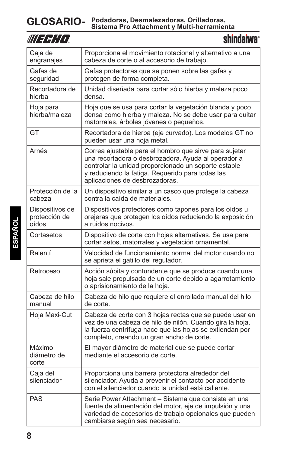| WUEFFITT                                  | <b>shindaiwa</b> ®                                                                                                                                                                                                                                          |
|-------------------------------------------|-------------------------------------------------------------------------------------------------------------------------------------------------------------------------------------------------------------------------------------------------------------|
| Caja de<br>engranajes                     | Proporciona el movimiento rotacional y alternativo a una<br>cabeza de corte o al accesorio de trabajo.                                                                                                                                                      |
| Gafas de<br>seguridad                     | Gafas protectoras que se ponen sobre las gafas y<br>protegen de forma completa.                                                                                                                                                                             |
| Recortadora de<br>hierba                  | Unidad diseñada para cortar sólo hierba y maleza poco<br>densa.                                                                                                                                                                                             |
| Hoja para<br>hierba/maleza                | Hoja que se usa para cortar la vegetación blanda y poco<br>densa como hierba y maleza. No se debe usar para quitar<br>matorrales, árboles jóvenes o pequeños.                                                                                               |
| GT                                        | Recortadora de hierba (eje curvado). Los modelos GT no<br>pueden usar una hoja metal.                                                                                                                                                                       |
| Arnés                                     | Correa ajustable para el hombro que sirve para sujetar<br>una recortadora o desbrozadora. Ayuda al operador a<br>controlar la unidad proporcionado un soporte estable<br>y reduciendo la fatiga. Requerido para todas las<br>aplicaciones de desbrozadoras. |
| Protección de la<br>cabeza                | Un dispositivo similar a un casco que protege la cabeza<br>contra la caída de materiales.                                                                                                                                                                   |
| Dispositivos de<br>protección de<br>oídos | Dispositivos protectores como tapones para los oídos u<br>orejeras que protegen los oídos reduciendo la exposición<br>a ruidos nocivos.                                                                                                                     |
| Cortasetos                                | Dispositivo de corte con hojas alternativas. Se usa para<br>cortar setos, matorrales y vegetación ornamental.                                                                                                                                               |
| Ralentí                                   | Velocidad de funcionamiento normal del motor cuando no<br>se aprieta el gatillo del regulador.                                                                                                                                                              |
| Retroceso                                 | Acción súbita y contundente que se produce cuando una<br>hoja sale propulsada de un corte debido a agarrotamiento<br>o aprisionamiento de la hoja.                                                                                                          |
| Cabeza de hilo<br>manual                  | Cabeza de hilo que requiere el enrollado manual del hilo<br>de corte.                                                                                                                                                                                       |
| Hoja Maxi-Cut                             | Cabeza de corte con 3 hojas rectas que se puede usar en<br>vez de una cabeza de hilo de nilón. Cuando gira la hoja,<br>la fuerza centrífuga hace que las hojas se extiendan por<br>completo, creando un gran ancho de corte.                                |
| Máximo<br>diámetro de<br>corte            | El mayor diámetro de material que se puede cortar<br>mediante el accesorio de corte.                                                                                                                                                                        |
| Caja del<br>silenciador                   | Proporciona una barrera protectora alrededor del<br>silenciador. Ayuda a prevenir el contacto por accidente<br>con el silenciador cuando la unidad está caliente.                                                                                           |
| <b>PAS</b>                                | Serie Power Attachment - Sistema que consiste en una<br>fuente de alimentación del motor, eje de impulsión y una<br>variedad de accesorios de trabajo opcionales que pueden<br>cambiarse según sea necesario.                                               |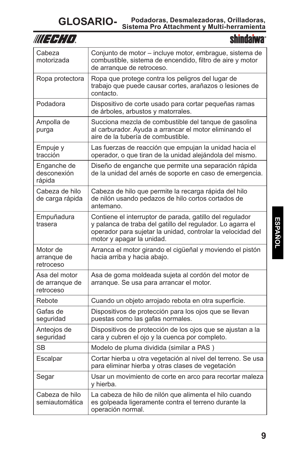| III E E I I I                                | shindaiwa°                                                                                                                                                                                                         |
|----------------------------------------------|--------------------------------------------------------------------------------------------------------------------------------------------------------------------------------------------------------------------|
| Cabeza<br>motorizada                         | Conjunto de motor - incluye motor, embrague, sistema de<br>combustible, sistema de encendido, filtro de aire y motor<br>de arrangue de retroceso.                                                                  |
| Ropa protectora                              | Ropa que protege contra los peligros del lugar de<br>trabajo que puede causar cortes, arañazos o lesiones de<br>contacto.                                                                                          |
| Podadora                                     | Dispositivo de corte usado para cortar pequeñas ramas<br>de árboles, arbustos y matorrales.                                                                                                                        |
| Ampolla de<br>purga                          | Succiona mezcla de combustible del tanque de gasolina<br>al carburador. Ayuda a arrancar el motor eliminando el<br>aire de la tubería de combustible.                                                              |
| Empuje y<br>tracción                         | Las fuerzas de reacción que empujan la unidad hacia el<br>operador, o que tiran de la unidad alejándola del mismo.                                                                                                 |
| Enganche de<br>desconexión<br>rápida         | Diseño de enganche que permite una separación rápida<br>de la unidad del arnés de soporte en caso de emergencia.                                                                                                   |
| Cabeza de hilo<br>de carga rápida            | Cabeza de hilo que permite la recarga rápida del hilo<br>de nilón usando pedazos de hilo cortos cortados de<br>antemano.                                                                                           |
| Empuñadura<br>trasera                        | Contiene el interruptor de parada, gatillo del regulador<br>y palanca de traba del gatillo del regulador. Lo agarra el<br>operador para sujetar la unidad, controlar la velocidad del<br>motor y apagar la unidad. |
| Motor de<br>arranque de<br>retroceso         | Arranca el motor girando el cigüeñal y moviendo el pistón<br>hacia arriba y hacia abajo.                                                                                                                           |
| Asa del motor<br>de arranque de<br>retroceso | Asa de goma moldeada sujeta al cordón del motor de<br>arranque. Se usa para arrancar el motor.                                                                                                                     |
| Rebote                                       | Cuando un objeto arrojado rebota en otra superficie.                                                                                                                                                               |
| Gafas de<br>seguridad                        | Dispositivos de protección para los ojos que se llevan<br>puestas como las gafas normales.                                                                                                                         |
| Anteojos de<br>seguridad                     | Dispositivos de protección de los ojos que se ajustan a la<br>cara y cubren el ojo y la cuenca por completo.                                                                                                       |
| <b>SB</b>                                    | Modelo de pluma dividida (similar a PAS)                                                                                                                                                                           |
| Escalpar                                     | Cortar hierba u otra vegetación al nivel del terreno. Se usa<br>para eliminar hierba y otras clases de vegetación                                                                                                  |
| Segar                                        | Usar un movimiento de corte en arco para recortar maleza<br>y hierba.                                                                                                                                              |
| Cabeza de hilo<br>semiautomática             | La cabeza de hilo de nilón que alimenta el hilo cuando<br>es golpeada ligeramente contra el terreno durante la<br>operación normal.                                                                                |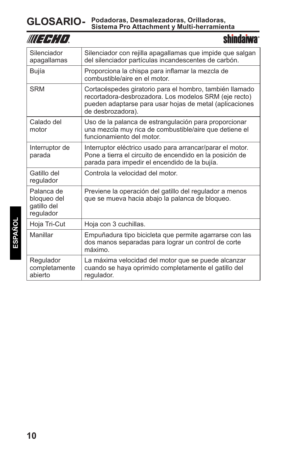| WUEFHIO.                                              | <b>shindaiwa</b> *                                                                                                                                                                               |
|-------------------------------------------------------|--------------------------------------------------------------------------------------------------------------------------------------------------------------------------------------------------|
| Silenciador<br>apagallamas                            | Silenciador con rejilla apagallamas que impide que salgan<br>del silenciador partículas incandescentes de carbón.                                                                                |
| Bujía                                                 | Proporciona la chispa para inflamar la mezcla de<br>combustible/aire en el motor.                                                                                                                |
| <b>SRM</b>                                            | Cortacéspedes giratorio para el hombro, también llamado<br>recortadora-desbrozadora. Los modelos SRM (eje recto)<br>pueden adaptarse para usar hojas de metal (aplicaciones<br>de desbrozadora). |
| Calado del<br>motor                                   | Uso de la palanca de estrangulación para proporcionar<br>una mezcla muy rica de combustible/aire que detiene el<br>funcionamiento del motor.                                                     |
| Interruptor de<br>parada                              | Interruptor eléctrico usado para arrancar/parar el motor.<br>Pone a tierra el circuito de encendido en la posición de<br>parada para impedir el encendido de la bujía.                           |
| Gatillo del<br>regulador                              | Controla la velocidad del motor.                                                                                                                                                                 |
| Palanca de<br>bloqueo del<br>gatillo del<br>regulador | Previene la operación del gatillo del regulador a menos<br>que se mueva hacia abajo la palanca de bloqueo.                                                                                       |
| Hoja Tri-Cut                                          | Hoja con 3 cuchillas.                                                                                                                                                                            |
| Manillar                                              | Empuñadura tipo bicicleta que permite agarrarse con las<br>dos manos separadas para lograr un control de corte<br>máximo.                                                                        |
| Regulador<br>completamente<br>abierto                 | La máxima velocidad del motor que se puede alcanzar<br>cuando se haya oprimido completamente el gatillo del<br>regulador.                                                                        |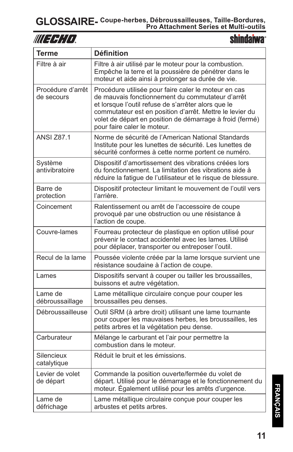shindaiwa<sup>®</sup>

| <b>Terme</b>                    | <b>Définition</b>                                                                                                                                                                                                                                                                                                      |
|---------------------------------|------------------------------------------------------------------------------------------------------------------------------------------------------------------------------------------------------------------------------------------------------------------------------------------------------------------------|
| Filtre à air                    | Filtre à air utilisé par le moteur pour la combustion.<br>Empêche la terre et la poussière de pénétrer dans le<br>moteur et aide ainsi à prolonger sa durée de vie.                                                                                                                                                    |
| Procédure d'arrêt<br>de secours | Procédure utilisée pour faire caler le moteur en cas<br>de mauvais fonctionnement du commutateur d'arrêt<br>et lorsque l'outil refuse de s'arrêter alors que le<br>commutateur est en position d'arrêt. Mettre le levier du<br>volet de départ en position de démarrage à froid (fermé)<br>pour faire caler le moteur. |
| <b>ANSI Z87.1</b>               | Norme de sécurité de l'American National Standards<br>Institute pour les lunettes de sécurité. Les lunettes de<br>sécurité conformes à cette norme portent ce numéro.                                                                                                                                                  |
| Système<br>antivibratoire       | Dispositif d'amortissement des vibrations créées lors<br>du fonctionnement. La limitation des vibrations aide à<br>réduire la fatigue de l'utilisateur et le risque de blessure.                                                                                                                                       |
| Barre de<br>protection          | Dispositif protecteur limitant le mouvement de l'outil vers<br>l'arrière.                                                                                                                                                                                                                                              |
| Coincement                      | Ralentissement ou arrêt de l'accessoire de coupe<br>provoqué par une obstruction ou une résistance à<br>l'action de coupe.                                                                                                                                                                                             |
| Couvre-lames                    | Fourreau protecteur de plastique en option utilisé pour<br>prévenir le contact accidentel avec les lames. Utilisé<br>pour déplacer, transporter ou entreposer l'outil.                                                                                                                                                 |
| Recul de la lame                | Poussée violente créée par la lame lorsque survient une<br>résistance soudaine à l'action de coupe.                                                                                                                                                                                                                    |
| Lames                           | Dispositifs servant à couper ou tailler les broussailles,<br>buissons et autre végétation.                                                                                                                                                                                                                             |
| Lame de<br>débroussaillage      | Lame métallique circulaire conçue pour couper les<br>broussailles peu denses.                                                                                                                                                                                                                                          |
| Débroussailleuse                | Outil SRM (à arbre droit) utilisant une lame tournante<br>pour couper les mauvaises herbes, les broussailles, les<br>petits arbres et la végétation peu dense.                                                                                                                                                         |
| Carburateur                     | Mélange le carburant et l'air pour permettre la<br>combustion dans le moteur.                                                                                                                                                                                                                                          |
| Silencieux<br>catalytique       | Réduit le bruit et les émissions.                                                                                                                                                                                                                                                                                      |
| Levier de volet<br>de départ    | Commande la position ouverte/fermée du volet de<br>départ. Utilisé pour le démarrage et le fonctionnement du<br>moteur. Également utilisé pour les arrêts d'urgence.                                                                                                                                                   |
| Lame de<br>défrichage           | Lame métallique circulaire conçue pour couper les<br>arbustes et petits arbres.                                                                                                                                                                                                                                        |

**FRANÇAIS FRANÇAIS**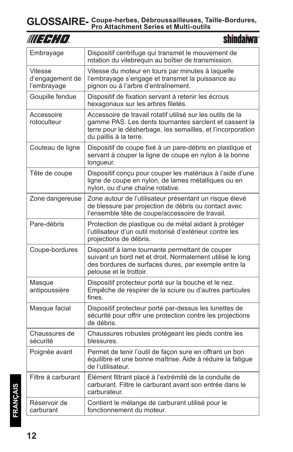| WU FEHITI                                 | <b>shindaiwa</b> ®                                                                                                                                                                                            |
|-------------------------------------------|---------------------------------------------------------------------------------------------------------------------------------------------------------------------------------------------------------------|
| Embrayage                                 | Dispositif centrifuge qui transmet le mouvement de<br>rotation du vilebrequin au boîtier de transmission.                                                                                                     |
| Vitesse<br>d'engagement de<br>l'embrayage | Vitesse du moteur en tours par minutes à laquelle<br>l'embrayage s'engage et transmet la puissance au<br>pignon ou à l'arbre d'entraînement.                                                                  |
| Goupille fendue                           | Dispositif de fixation servant à retenir les écrous<br>hexagonaux sur les arbres filetés.                                                                                                                     |
| Accessoire<br>rotoculteur                 | Accessoire de travail rotatif utilisé sur les outils de la<br>gamme PAS. Les dents tournantes sarclent et cassent la<br>terre pour le désherbage, les semailles, et l'incorporation<br>du paillis à la terre. |
| Couteau de ligne                          | Dispositif de coupe fixé à un pare-débris en plastique et<br>servant à couper la ligne de coupe en nylon à la bonne<br>longueur.                                                                              |
| Tête de coupe                             | Dispositif conçu pour couper les matériaux à l'aide d'une<br>ligne de coupe en nylon, de lames métalliques ou en<br>nylon, ou d'une chaîne rotative.                                                          |
| Zone dangereuse                           | Zone autour de l'utilisateur présentant un risque élevé<br>de blessure par projection de débris ou contact avec<br>l'ensemble tête de coupe/accessoire de travail.                                            |
| Pare-débris                               | Protection de plastique ou de métal aidant à protéger<br>l'utilisateur d'un outil motorisé d'extérieur contre les<br>projections de débris.                                                                   |
| Coupe-bordures                            | Dispositif à lame tournante permettant de couper<br>suivant un bord net et droit. Normalement utilisé le long<br>des bordures de surfaces dures, par exemple entre la<br>pelouse et le trottoir.              |
| Masque<br>antipoussière                   | Dispositif protecteur porté sur la bouche et le nez.<br>Empêche de respirer de la sciure ou d'autres particules<br>fines.                                                                                     |
| Masque facial                             | Dispositif protecteur porté par-dessus les lunettes de<br>sécurité pour offrir une protection contre les projections<br>de débris.                                                                            |
| Chaussures de<br>sécurité                 | Chaussures robustes protégeant les pieds contre les<br>blessures.                                                                                                                                             |
| Poignée avant                             | Permet de tenir l'outil de façon sure en offrant un bon<br>équilibre et une bonne maîtrise. Aide à réduire la fatique<br>de l'utilisateur.                                                                    |
| Filtre à carburant                        | Élément filtrant placé à l'extrémité de la conduite de<br>carburant. Filtre le carburant avant son entrée dans le<br>carburateur.                                                                             |
| Réservoir de<br>carburant                 | Contient le mélange de carburant utilisé pour le<br>fonctionnement du moteur.                                                                                                                                 |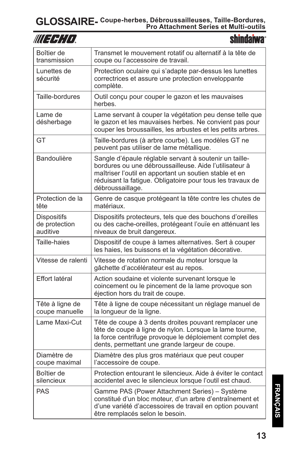| WU FEHIT                                        | <b>shindaiwa</b>                                                                                                                                                                                                                                             |
|-------------------------------------------------|--------------------------------------------------------------------------------------------------------------------------------------------------------------------------------------------------------------------------------------------------------------|
| Boîtier de<br>transmission                      | Transmet le mouvement rotatif ou alternatif à la tête de<br>coupe ou l'accessoire de travail.                                                                                                                                                                |
| Lunettes de<br>sécurité                         | Protection oculaire qui s'adapte par-dessus les lunettes<br>correctrices et assure une protection enveloppante<br>complète.                                                                                                                                  |
| Taille-bordures                                 | Outil conçu pour couper le gazon et les mauvaises<br>herbes.                                                                                                                                                                                                 |
| Lame de<br>désherbage                           | Lame servant à couper la végétation peu dense telle que<br>le gazon et les mauvaises herbes. Ne convient pas pour<br>couper les broussailles, les arbustes et les petits arbres.                                                                             |
| GT                                              | Taille-bordures (à arbre courbe). Les modèles GT ne<br>peuvent pas utiliser de lame métallique.                                                                                                                                                              |
| Bandoulière                                     | Sangle d'épaule réglable servant à soutenir un taille-<br>bordures ou une débroussailleuse. Aide l'utilisateur à<br>maîtriser l'outil en apportant un soutien stable et en<br>réduisant la fatigue. Obligatoire pour tous les travaux de<br>débroussaillage. |
| Protection de la<br>tête                        | Genre de casque protégeant la tête contre les chutes de<br>matériaux.                                                                                                                                                                                        |
| <b>Dispositifs</b><br>de protection<br>auditive | Dispositifs protecteurs, tels que des bouchons d'oreilles<br>ou des cache-oreilles, protégeant l'ouïe en atténuant les<br>niveaux de bruit dangereux.                                                                                                        |
| Taille-haies                                    | Dispositif de coupe à lames alternatives. Sert à couper<br>les haies, les buissons et la végétation décorative.                                                                                                                                              |
| Vitesse de ralenti                              | Vitesse de rotation normale du moteur lorsque la<br>gâchette d'accélérateur est au repos.                                                                                                                                                                    |
| Effort latéral                                  | Action soudaine et violente survenant lorsque le<br>coincement ou le pincement de la lame provoque son<br>éjection hors du trait de coupe.                                                                                                                   |
| Tête à ligne de<br>coupe manuelle               | Tête à ligne de coupe nécessitant un réglage manuel de<br>la longueur de la ligne.                                                                                                                                                                           |
| Lame Maxi-Cut                                   | Tête de coupe à 3 dents droites pouvant remplacer une<br>tête de coupe à ligne de nylon. Lorsque la lame tourne,<br>la force centrifuge provoque le déploiement complet des<br>dents, permettant une grande largeur de coupe.                                |
| Diamètre de<br>coupe maximal                    | Diamètre des plus gros matériaux que peut couper<br>l'accessoire de coupe.                                                                                                                                                                                   |
| Boîtier de<br>silencieux                        | Protection entourant le silencieux. Aide à éviter le contact<br>accidentel avec le silencieux lorsque l'outil est chaud.                                                                                                                                     |
| <b>PAS</b>                                      | Gamme PAS (Power Attachment Series) - Système<br>constitué d'un bloc moteur, d'un arbre d'entraînement et<br>d'une variété d'accessoires de travail en option pouvant<br>être remplacés selon le besoin.                                                     |

**FRANÇAIS FRANÇAIS**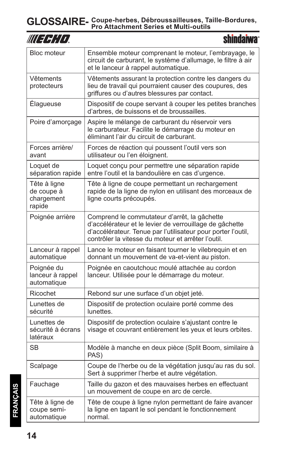| WUEFHIO.                                           | shindaiwa®                                                                                                                                                                                                                    |
|----------------------------------------------------|-------------------------------------------------------------------------------------------------------------------------------------------------------------------------------------------------------------------------------|
| <b>Bloc moteur</b>                                 | Ensemble moteur comprenant le moteur, l'embrayage, le<br>circuit de carburant, le système d'allumage, le filtre à air<br>et le lanceur à rappel automatique.                                                                  |
| Vêtements<br>protecteurs                           | Vêtements assurant la protection contre les dangers du<br>lieu de travail qui pourraient causer des coupures, des<br>griffures ou d'autres blessures par contact.                                                             |
| Élagueuse                                          | Dispositif de coupe servant à couper les petites branches<br>d'arbres, de buissons et de broussailles.                                                                                                                        |
| Poire d'amorçage                                   | Aspire le mélange de carburant du réservoir vers<br>le carburateur. Facilite le démarrage du moteur en<br>éliminant l'air du circuit de carburant.                                                                            |
| Forces arrière/<br>avant                           | Forces de réaction qui poussent l'outil vers son<br>utilisateur ou l'en éloignent.                                                                                                                                            |
| Loquet de<br>séparation rapide                     | Loquet conçu pour permettre une séparation rapide<br>entre l'outil et la bandoulière en cas d'urgence.                                                                                                                        |
| Tête à ligne<br>de coupe à<br>chargement<br>rapide | Tête à ligne de coupe permettant un rechargement<br>rapide de la ligne de nylon en utilisant des morceaux de<br>ligne courts précoupés.                                                                                       |
| Poignée arrière                                    | Comprend le commutateur d'arrêt, la gâchette<br>d'accélérateur et le levier de verrouillage de gâchette<br>d'accélérateur. Tenue par l'utilisateur pour porter l'outil,<br>contrôler la vitesse du moteur et arrêter l'outil. |
| Lanceur à rappel<br>automatique                    | Lance le moteur en faisant tourner le vilebrequin et en<br>donnant un mouvement de va-et-vient au piston.                                                                                                                     |
| Poignée du<br>lanceur à rappel<br>automatique      | Poignée en caoutchouc moulé attachée au cordon<br>lanceur. Utilisée pour le démarrage du moteur.                                                                                                                              |
| Ricochet                                           | Rebond sur une surface d'un objet jeté.                                                                                                                                                                                       |
| Lunettes de<br>sécurité                            | Dispositif de protection oculaire porté comme des<br>lunettes.                                                                                                                                                                |
| Lunettes de<br>sécurité à écrans<br>latéraux       | Dispositif de protection oculaire s'ajustant contre le<br>visage et couvrant entièrement les yeux et leurs orbites.                                                                                                           |
| <b>SB</b>                                          | Modèle à manche en deux pièce (Split Boom, similaire à<br>PAS)                                                                                                                                                                |
| Scalpage                                           | Coupe de l'herbe ou de la végétation jusqu'au ras du sol.<br>Sert à supprimer l'herbe et autre végétation.                                                                                                                    |
| Fauchage                                           | Taille du gazon et des mauvaises herbes en effectuant<br>un mouvement de coupe en arc de cercle.                                                                                                                              |
| Tête à ligne de<br>coupe semi-<br>automatique      | Tête de coupe à ligne nylon permettant de faire avancer<br>la ligne en tapant le sol pendant le fonctionnement<br>normal.                                                                                                     |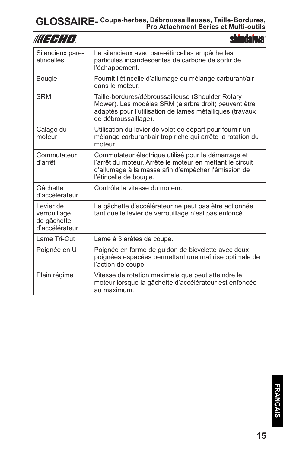|                                                            | shindarwa                                                                                                                                                                                         |
|------------------------------------------------------------|---------------------------------------------------------------------------------------------------------------------------------------------------------------------------------------------------|
| Silencieux pare-<br>étincelles                             | Le silencieux avec pare-étincelles empêche les<br>particules incandescentes de carbone de sortir de<br>l'échappement.                                                                             |
| <b>Bougie</b>                                              | Fournit l'étincelle d'allumage du mélange carburant/air<br>dans le moteur.                                                                                                                        |
| <b>SRM</b>                                                 | Taille-bordures/débroussailleuse (Shoulder Rotary<br>Mower). Les modèles SRM (à arbre droit) peuvent être<br>adaptés pour l'utilisation de lames métalliques (travaux<br>de débroussaillage).     |
| Calage du<br>moteur                                        | Utilisation du levier de volet de départ pour fournir un<br>mélange carburant/air trop riche qui arrête la rotation du<br>moteur                                                                  |
| Commutateur<br>d'arrêt                                     | Commutateur électrique utilisé pour le démarrage et<br>l'arrêt du moteur. Arrête le moteur en mettant le circuit<br>d'allumage à la masse afin d'empêcher l'émission de<br>l'étincelle de bougie. |
| Gâchette<br>d'accélérateur                                 | Contrôle la vitesse du moteur.                                                                                                                                                                    |
| Levier de<br>verrouillage<br>de gâchette<br>d'accélérateur | La gâchette d'accélérateur ne peut pas être actionnée<br>tant que le levier de verrouillage n'est pas enfoncé.                                                                                    |
| Lame Tri-Cut                                               | Lame à 3 arêtes de coupe.                                                                                                                                                                         |
| Poignée en U                                               | Poignée en forme de guidon de bicyclette avec deux<br>poignées espacées permettant une maîtrise optimale de<br>l'action de coupe.                                                                 |
| Plein régime                                               | Vitesse de rotation maximale que peut atteindre le<br>moteur lorsque la gâchette d'accélérateur est enfoncée<br>au maximum.                                                                       |